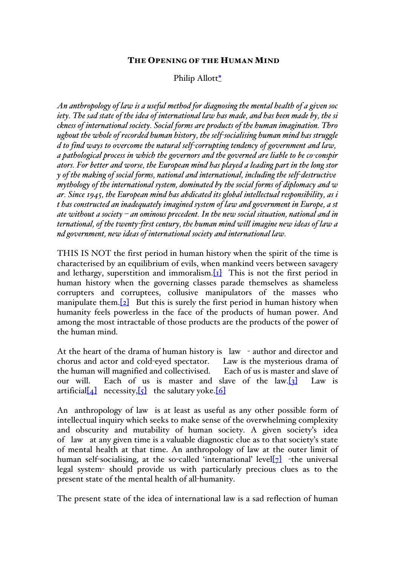## THE OPENING OF THE HUMAN MIND

## Philip Allott\*

*An anthropology of law is a useful method for diagnosing the mental health of a given soc iety. The sad state of the idea of international law has made, and has been made by, the si ckness of international society. Social forms are products of the human imagination. Thro ughout the whole of recorded human history, the self-socialising human mind has struggle d to find ways to overcome the natural self-corrupting tendency of government and law, a pathological process in which the governors and the governed are liable to be co-conspir ators. For better and worse, the European mind has played a leading part in the long stor y of the making of social forms, national and international, including the self-destructive mythology of the international system, dominated by the social forms of diplomacy and w ar. Since 1945, the European mind has abdicated its global intellectual responsibility, as i t has constructed an inadequately imagined system of law and government in Europe, a st ate without a society – an ominous precedent. In the new social situation, national and in ternational, of the twenty-first century, the human mind will imagine new ideas of law a nd government, new ideas of international society and international law.*

THIS IS NOT the first period in human history when the spirit of the time is characterised by an equilibrium of evils, when mankind veers between savagery and lethargy, superstition and immoralism.  $\boxed{1}$  This is not the first period in human history when the governing classes parade themselves as shameless corrupters and corruptees, collusive manipulators of the masses who manipulate them.  $[2]$  But this is surely the first period in human history when humanity feels powerless in the face of the products of human power. And among the most intractable of those products are the products of the power of the human mind.

At the heart of the drama of human history is law - author and director and chorus and actor and cold-eyed spectator. Law is the mysterious drama of the human will magnified and collectivised. Each of us is master and slave of our will. Each of us is master and slave of the  $law.[3]$  Law is artificial[ $\angle 4$ ] necessity,[ $\angle 5$ ] the salutary yoke.[6]

An anthropology of law is at least as useful as any other possible form of intellectual inquiry which seeks to make sense of the overwhelming complexity and obscurity and mutability of human society. A given society's idea of law at any given time is a valuable diagnostic clue as to that society's state of mental health at that time. An anthropology of law at the outer limit of human self-socialising, at the so-called 'international' level[7] -the universal legal system- should provide us with particularly precious clues as to the present state of the mental health of all-humanity.

The present state of the idea of international law is a sad reflection of human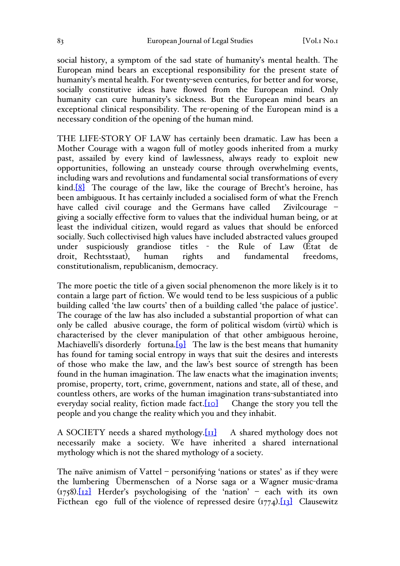social history, a symptom of the sad state of humanity's mental health. The European mind bears an exceptional responsibility for the present state of humanity's mental health. For twenty-seven centuries, for better and for worse, socially constitutive ideas have flowed from the European mind. Only humanity can cure humanity's sickness. But the European mind bears an exceptional clinical responsibility. The re-opening of the European mind is a necessary condition of the opening of the human mind.

THE LIFE-STORY OF LAW has certainly been dramatic. Law has been a Mother Courage with a wagon full of motley goods inherited from a murky past, assailed by every kind of lawlessness, always ready to exploit new opportunities, following an unsteady course through overwhelming events, including wars and revolutions and fundamental social transformations of every kind. $[8]$  The courage of the law, like the courage of Brecht's heroine, has been ambiguous. It has certainly included a socialised form of what the French have called civil courage and the Germans have called Zivilcourage giving a socially effective form to values that the individual human being, or at least the individual citizen, would regard as values that should be enforced socially. Such collectivised high values have included abstracted values grouped under suspiciously grandiose titles - the Rule of Law (État de droit, Rechtsstaat), human rights and fundamental freedoms, constitutionalism, republicanism, democracy.

The more poetic the title of a given social phenomenon the more likely is it to contain a large part of fiction. We would tend to be less suspicious of a public building called 'the law courts' then of a building called 'the palace of justice'. The courage of the law has also included a substantial proportion of what can only be called abusive courage, the form of political wisdom (virtù) which is characterised by the clever manipulation of that other ambiguous heroine, Machiavelli's disorderly fortuna.<sup>[9]</sup> The law is the best means that humanity has found for taming social entropy in ways that suit the desires and interests of those who make the law, and the law's best source of strength has been found in the human imagination. The law enacts what the imagination invents; promise, property, tort, crime, government, nations and state, all of these, and countless others, are works of the human imagination trans-substantiated into everyday social reality, fiction made fact. $[10]$  Change the story you tell the people and you change the reality which you and they inhabit.

A SOCIETY needs a shared mythology. $\text{[II]}$  A shared mythology does not necessarily make a society. We have inherited a shared international mythology which is not the shared mythology of a society.

The naïve animism of Vattel – personifying 'nations or states' as if they were the lumbering Übermenschen of a Norse saga or a Wagner music-drama  $(\frac{1758}{12})$  Herder's psychologising of the 'nation' – each with its own Ficthean ego full of the violence of repressed desire  $(1774)$ . [13] Clausewitz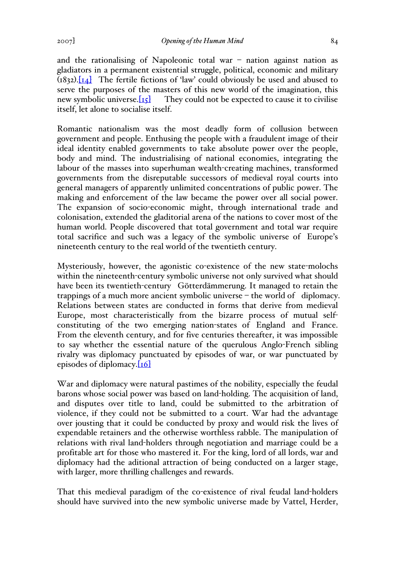and the rationalising of Napoleonic total war – nation against nation as gladiators in a permanent existential struggle, political, economic and military  $(1832)$ .[14] The fertile fictions of 'law' could obviously be used and abused to serve the purposes of the masters of this new world of the imagination, this new symbolic universe.  $[x]$  They could not be expected to cause it to civilise They could not be expected to cause it to civilise. itself, let alone to socialise itself.

Romantic nationalism was the most deadly form of collusion between government and people. Enthusing the people with a fraudulent image of their ideal identity enabled governments to take absolute power over the people, body and mind. The industrialising of national economies, integrating the labour of the masses into superhuman wealth-creating machines, transformed governments from the disreputable successors of medieval royal courts into general managers of apparently unlimited concentrations of public power. The making and enforcement of the law became the power over all social power. The expansion of socio-economic might, through international trade and colonisation, extended the gladitorial arena of the nations to cover most of the human world. People discovered that total government and total war require total sacrifice and such was a legacy of the symbolic universe of Europe's nineteenth century to the real world of the twentieth century.

Mysteriously, however, the agonistic co-existence of the new state-molochs within the nineteenth-century symbolic universe not only survived what should have been its twentieth-century Götterdämmerung. It managed to retain the trappings of a much more ancient symbolic universe – the world of diplomacy. Relations between states are conducted in forms that derive from medieval Europe, most characteristically from the bizarre process of mutual selfconstituting of the two emerging nation-states of England and France. From the eleventh century, and for five centuries thereafter, it was impossible to say whether the essential nature of the querulous Anglo-French sibling rivalry was diplomacy punctuated by episodes of war, or war punctuated by episodes of diplomacy. $[16]$ 

War and diplomacy were natural pastimes of the nobility, especially the feudal barons whose social power was based on land-holding. The acquisition of land, and disputes over title to land, could be submitted to the arbitration of violence, if they could not be submitted to a court. War had the advantage over jousting that it could be conducted by proxy and would risk the lives of expendable retainers and the otherwise worthless rabble. The manipulation of relations with rival land-holders through negotiation and marriage could be a profitable art for those who mastered it. For the king, lord of all lords, war and diplomacy had the aditional attraction of being conducted on a larger stage, with larger, more thrilling challenges and rewards.

That this medieval paradigm of the co-existence of rival feudal land-holders should have survived into the new symbolic universe made by Vattel, Herder,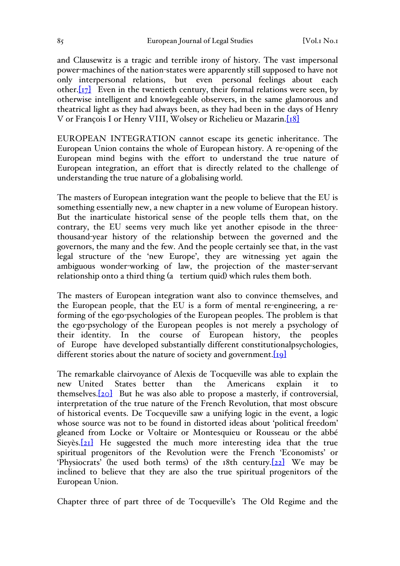and Clausewitz is a tragic and terrible irony of history. The vast impersonal power-machines of the nation-states were apparently still supposed to have not only interpersonal relations, but even personal feelings about each other. $[17]$  Even in the twentieth century, their formal relations were seen, by otherwise intelligent and knowlegeable observers, in the same glamorous and theatrical light as they had always been, as they had been in the days of Henry V or François I or Henry VIII, Wolsey or Richelieu or Mazarin.[18]

EUROPEAN INTEGRATION cannot escape its genetic inheritance. The European Union contains the whole of European history. A re-opening of the European mind begins with the effort to understand the true nature of European integration, an effort that is directly related to the challenge of understanding the true nature of a globalising world.

The masters of European integration want the people to believe that the EU is something essentially new, a new chapter in a new volume of European history. But the inarticulate historical sense of the people tells them that, on the contrary, the EU seems very much like yet another episode in the threethousand-year history of the relationship between the governed and the governors, the many and the few. And the people certainly see that, in the vast legal structure of the 'new Europe', they are witnessing yet again the ambiguous wonder-working of law, the projection of the master-servant relationship onto a third thing (a tertium quid) which rules them both.

The masters of European integration want also to convince themselves, and the European people, that the EU is a form of mental re-engineering, a reforming of the ego-psychologies of the European peoples. The problem is that the ego-psychology of the European peoples is not merely a psychology of their identity. In the course of European history, the peoples of Europe have developed substantially different constitutionalpsychologies, different stories about the nature of society and government. $[19]$ 

The remarkable clairvoyance of Alexis de Tocqueville was able to explain the new United States better than the Americans explain it to themselves. $[20]$  But he was also able to propose a masterly, if controversial, interpretation of the true nature of the French Revolution, that most obscure of historical events. De Tocqueville saw a unifying logic in the event, a logic whose source was not to be found in distorted ideas about 'political freedom' gleaned from Locke or Voltaire or Montesquieu or Rousseau or the abbé Sieyès. $[21]$  He suggested the much more interesting idea that the true spiritual progenitors of the Revolution were the French 'Economists' or 'Physiocrats' (he used both terms) of the 18th century.[22] We may be inclined to believe that they are also the true spiritual progenitors of the European Union.

Chapter three of part three of de Tocqueville's The Old Regime and the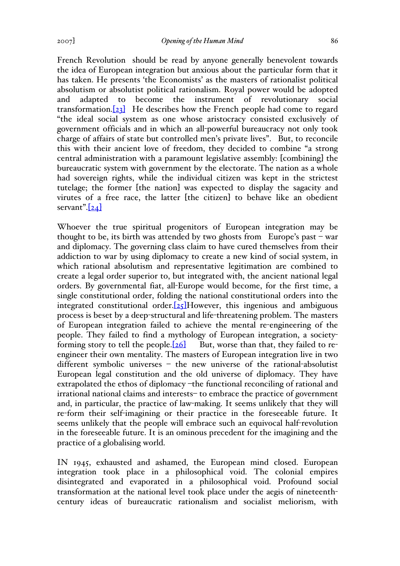2007] *Opening of the Human Mind* 86

French Revolution should be read by anyone generally benevolent towards the idea of European integration but anxious about the particular form that it has taken. He presents 'the Economists' as the masters of rationalist political absolutism or absolutist political rationalism. Royal power would be adopted and adapted to become the instrument of revolutionary social transformation.[23] He describes how the French people had come to regard "the ideal social system as one whose aristocracy consisted exclusively of government officials and in which an all-powerful bureaucracy not only took charge of affairs of state but controlled men's private lives". But, to reconcile this with their ancient love of freedom, they decided to combine "a strong central administration with a paramount legislative assembly: [combining] the bureaucratic system with government by the electorate. The nation as a whole had sovereign rights, while the individual citizen was kept in the strictest tutelage; the former [the nation] was expected to display the sagacity and virutes of a free race, the latter [the citizen] to behave like an obedient servant". $[24]$ 

Whoever the true spiritual progenitors of European integration may be thought to be, its birth was attended by two ghosts from Europe's past – war and diplomacy. The governing class claim to have cured themselves from their addiction to war by using diplomacy to create a new kind of social system, in which rational absolutism and representative legitimation are combined to create a legal order superior to, but integrated with, the ancient national legal orders. By governmental fiat, all-Europe would become, for the first time, a single constitutional order, folding the national constitutional orders into the integrated constitutional order. $[25]$ However, this ingenious and ambiguous process is beset by a deep-structural and life-threatening problem. The masters of European integration failed to achieve the mental re-engineering of the people. They failed to find a mythology of European integration, a societyforming story to tell the people.  $[26]$  But, worse than that, they failed to reengineer their own mentality. The masters of European integration live in two different symbolic universes – the new universe of the rational-absolutist European legal constitution and the old universe of diplomacy. They have extrapolated the ethos of diplomacy –the functional reconciling of rational and irrational national claims and interests– to embrace the practice of government and, in particular, the practice of law-making. It seems unlikely that they will re-form their self-imagining or their practice in the foreseeable future. It seems unlikely that the people will embrace such an equivocal half-revolution in the foreseeable future. It is an ominous precedent for the imagining and the practice of a globalising world.

IN 1945, exhausted and ashamed, the European mind closed. European integration took place in a philosophical void. The colonial empires disintegrated and evaporated in a philosophical void. Profound social transformation at the national level took place under the aegis of nineteenthcentury ideas of bureaucratic rationalism and socialist meliorism, with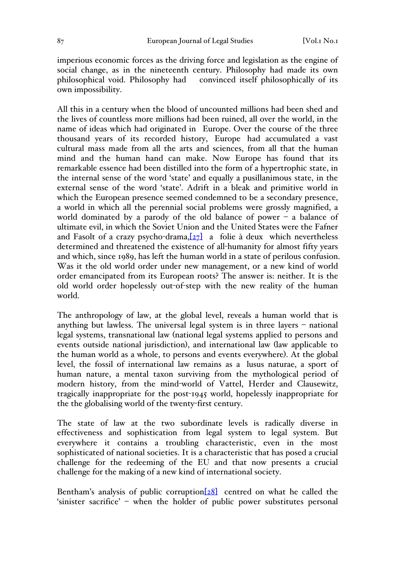imperious economic forces as the driving force and legislation as the engine of social change, as in the nineteenth century. Philosophy had made its own philosophical void. Philosophy had convinced itself philosophically of its own impossibility.

All this in a century when the blood of uncounted millions had been shed and the lives of countless more millions had been ruined, all over the world, in the name of ideas which had originated in Europe. Over the course of the three thousand years of its recorded history, Europe had accumulated a vast cultural mass made from all the arts and sciences, from all that the human mind and the human hand can make. Now Europe has found that its remarkable essence had been distilled into the form of a hypertrophic state, in the internal sense of the word 'state' and equally a pusillanimous state, in the external sense of the word 'state'. Adrift in a bleak and primitive world in which the European presence seemed condemned to be a secondary presence, a world in which all the perennial social problems were grossly magnified, a world dominated by a parody of the old balance of power  $-\alpha$  balance of ultimate evil, in which the Soviet Union and the United States were the Fafner and Fasolt of a crazy psycho-drama, $[27]$  a folie à deux which nevertheless determined and threatened the existence of all-humanity for almost fifty years and which, since 1989, has left the human world in a state of perilous confusion. Was it the old world order under new management, or a new kind of world order emancipated from its European roots? The answer is: neither. It is the old world order hopelessly out-of-step with the new reality of the human world.

The anthropology of law, at the global level, reveals a human world that is anything but lawless. The universal legal system is in three layers – national legal systems, transnational law (national legal systems applied to persons and events outside national jurisdiction), and international law (law applicable to the human world as a whole, to persons and events everywhere). At the global level, the fossil of international law remains as a lusus naturae, a sport of human nature, a mental taxon surviving from the mythological period of modern history, from the mind-world of Vattel, Herder and Clausewitz, tragically inappropriate for the post-1945 world, hopelessly inappropriate for the the globalising world of the twenty-first century.

The state of law at the two subordinate levels is radically diverse in effectiveness and sophistication from legal system to legal system. But everywhere it contains a troubling characteristic, even in the most sophisticated of national societies. It is a characteristic that has posed a crucial challenge for the redeeming of the EU and that now presents a crucial challenge for the making of a new kind of international society.

Bentham's analysis of public corruption $[28]$  centred on what he called the 'sinister sacrifice' – when the holder of public power substitutes personal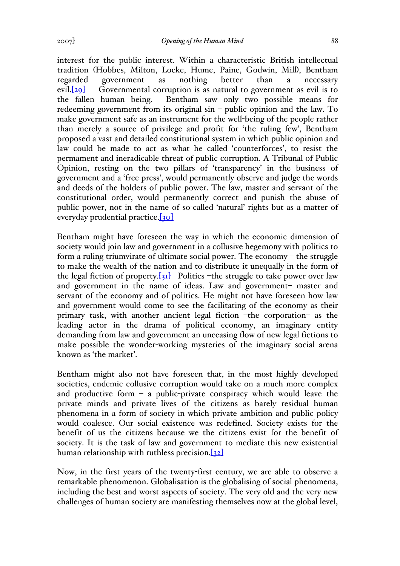interest for the public interest. Within a characteristic British intellectual tradition (Hobbes, Milton, Locke, Hume, Paine, Godwin, Mill), Bentham regarded government as nothing better than a necessary evil.<sup>[29]</sup> Governmental corruption is as natural to government as evil is to the fallen human being. Bentham saw only two possible means for redeeming government from its original sin – public opinion and the law. To make government safe as an instrument for the well-being of the people rather than merely a source of privilege and profit for 'the ruling few', Bentham proposed a vast and detailed constitutional system in which public opinion and law could be made to act as what he called 'counterforces', to resist the permament and ineradicable threat of public corruption. A Tribunal of Public Opinion, resting on the two pillars of 'transparency' in the business of government and a 'free press', would permanently observe and judge the words and deeds of the holders of public power. The law, master and servant of the constitutional order, would permanently correct and punish the abuse of public power, not in the name of so-called 'natural' rights but as a matter of everyday prudential practice.[30]

Bentham might have foreseen the way in which the economic dimension of society would join law and government in a collusive hegemony with politics to form a ruling triumvirate of ultimate social power. The economy – the struggle to make the wealth of the nation and to distribute it unequally in the form of the legal fiction of property. $[31]$  Politics –the struggle to take power over law and government in the name of ideas. Law and government– master and servant of the economy and of politics. He might not have foreseen how law and government would come to see the facilitating of the economy as their primary task, with another ancient legal fiction –the corporation– as the leading actor in the drama of political economy, an imaginary entity demanding from law and government an unceasing flow of new legal fictions to make possible the wonder-working mysteries of the imaginary social arena known as 'the market'.

Bentham might also not have foreseen that, in the most highly developed societies, endemic collusive corruption would take on a much more complex and productive form  $-$  a public-private conspiracy which would leave the private minds and private lives of the citizens as barely residual human phenomena in a form of society in which private ambition and public policy would coalesce. Our social existence was redefined. Society exists for the benefit of us the citizens because we the citizens exist for the benefit of society. It is the task of law and government to mediate this new existential human relationship with ruthless precision.[32]

Now, in the first years of the twenty-first century, we are able to observe a remarkable phenomenon. Globalisation is the globalising of social phenomena, including the best and worst aspects of society. The very old and the very new challenges of human society are manifesting themselves now at the global level,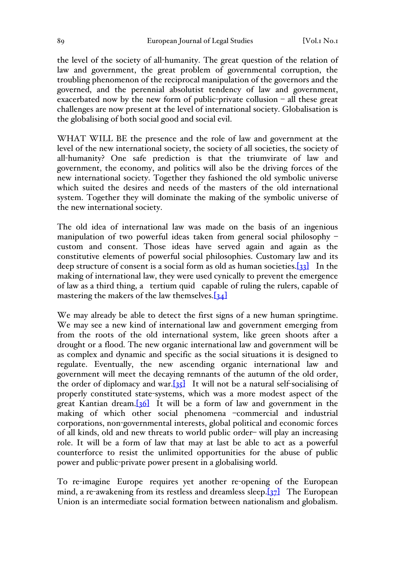the level of the society of all-humanity. The great question of the relation of law and government, the great problem of governmental corruption, the troubling phenomenon of the reciprocal manipulation of the governors and the governed, and the perennial absolutist tendency of law and government, exacerbated now by the new form of public-private collusion – all these great challenges are now present at the level of international society. Globalisation is the globalising of both social good and social evil.

WHAT WILL BE the presence and the role of law and government at the level of the new international society, the society of all societies, the society of all-humanity? One safe prediction is that the triumvirate of law and government, the economy, and politics will also be the driving forces of the new international society. Together they fashioned the old symbolic universe which suited the desires and needs of the masters of the old international system. Together they will dominate the making of the symbolic universe of the new international society.

The old idea of international law was made on the basis of an ingenious manipulation of two powerful ideas taken from general social philosophy – custom and consent. Those ideas have served again and again as the constitutive elements of powerful social philosophies. Customary law and its deep structure of consent is a social form as old as human societies.[33] In the making of international law, they were used cynically to prevent the emergence of law as a third thing, a tertium quid capable of ruling the rulers, capable of mastering the makers of the law themselves. $[34]$ 

We may already be able to detect the first signs of a new human springtime. We may see a new kind of international law and government emerging from from the roots of the old international system, like green shoots after a drought or a flood. The new organic international law and government will be as complex and dynamic and specific as the social situations it is designed to regulate. Eventually, the new ascending organic international law and government will meet the decaying remnants of the autumn of the old order, the order of diplomacy and war.[35] It will not be a natural self-socialising of properly constituted state-systems, which was a more modest aspect of the great Kantian dream.[36] It will be a form of law and government in the making of which other social phenomena –commercial and industrial corporations, non-governmental interests, global political and economic forces of all kinds, old and new threats to world public order– will play an increasing role. It will be a form of law that may at last be able to act as a powerful counterforce to resist the unlimited opportunities for the abuse of public power and public-private power present in a globalising world.

To re-imagine Europe requires yet another re-opening of the European mind, a re-awakening from its restless and dreamless sleep. $\sqrt{37}$  The European Union is an intermediate social formation between nationalism and globalism.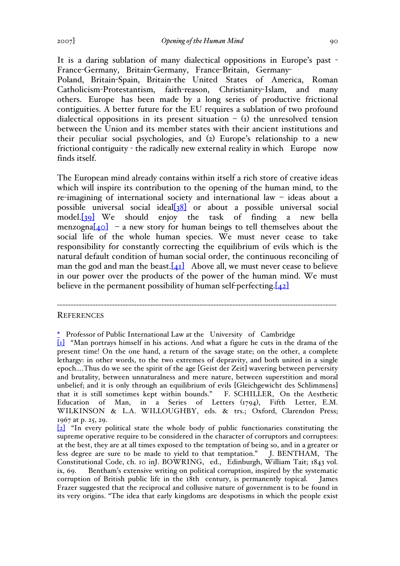It is a daring sublation of many dialectical oppositions in Europe's past - France-Germany, Britain-Germany, France-Britain, Germany-Poland, Britain-Spain, Britain-the United States of America, Roman Catholicism-Protestantism, faith-reason, Christianity-Islam, and many others. Europe has been made by a long series of productive frictional contiguities. A better future for the EU requires a sublation of two profound dialectical oppositions in its present situation  $-$  (1) the unresolved tension between the Union and its member states with their ancient institutions and their peculiar social psychologies, and (2) Europe's relationship to a new frictional contiguity - the radically new external reality in which Europe now finds itself.

The European mind already contains within itself a rich store of creative ideas which will inspire its contribution to the opening of the human mind, to the re-imagining of international society and international law – ideas about a possible universal social ideal[38] or about a possible universal social model.[39] We should enjoy the task of finding a new bella menzogna $[40]$  – a new story for human beings to tell themselves about the social life of the whole human species. We must never cease to take responsibility for constantly correcting the equilibrium of evils which is the natural default condition of human social order, the continuous reconciling of man the god and man the beast. $[41]$  Above all, we must never cease to believe in our power over the products of the power of the human mind. We must believe in the permanent possibility of human self-perfecting. $[42]$ 

------------------------------------------------------------------------------------------------------

## **REFERENCES**

<sup>\*</sup> Professor of Public International Law at the University of Cambridge

<sup>[</sup>1] "Man portrays himself in his actions. And what a figure he cuts in the drama of the present time! On the one hand, a return of the savage state; on the other, a complete lethargy: in other words, to the two extremes of depravity, and both united in a single epoch….Thus do we see the spirit of the age [Geist der Zeit] wavering between perversity and brutality, between unnaturalness and mere nature, between superstition and moral unbelief; and it is only through an equilibrium of evils [Gleichgewicht des Schlimmens] that it is still sometimes kept within bounds." F. SCHILLER, On the Aesthetic Education of Man, in a Series of Letters (1794), Fifth Letter, E.M. WILKINSON & L.A. WILLOUGHBY, eds. & trs.; Oxford, Clarendon Press; 1967 at p. 25, 29.

<sup>[</sup>2] "In every political state the whole body of public functionaries constituting the supreme operative require to be considered in the character of corruptors and corruptees: at the best, they are at all times exposed to the temptation of being so, and in a greater or less degree are sure to be made to yield to that temptation." J. BENTHAM, The Constitutional Code, ch. 10 inJ. BOWRING, ed., Edinburgh, William Tait; 1843 vol. ix, 69. Bentham's extensive writing on political corruption, inspired by the systematic corruption of British public life in the 18th century, is permanently topical. James Frazer suggested that the reciprocal and collusive nature of government is to be found in its very origins. "The idea that early kingdoms are despotisms in which the people exist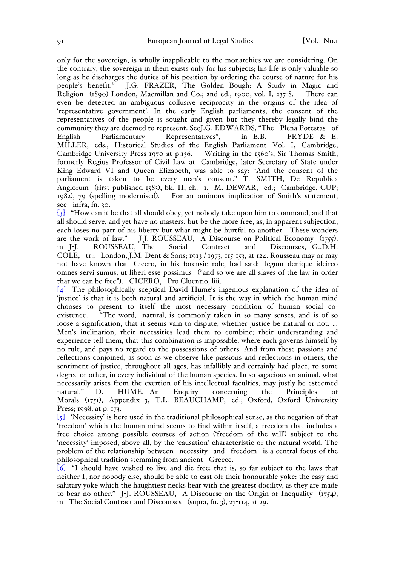only for the sovereign, is wholly inapplicable to the monarchies we are considering. On the contrary, the sovereign in them exists only for his subjects; his life is only valuable so long as he discharges the duties of his position by ordering the course of nature for his people's benefit." J.G. FRAZER, The Golden Bough: A Study in Magic and Religion (1890) London, Macmillan and Co.; 2nd ed., 1900, vol. I, 237-8. There can even be detected an ambiguous collusive reciprocity in the origins of the idea of 'representative government'. In the early English parliaments, the consent of the representatives of the people is sought and given but they thereby legally bind the community they are deemed to represent. SeeJ.G. EDWARDS, "The Plena Potestas of English Parliamentary Representatives", in E.B. FRYDE & E. MILLER, eds., Historical Studies of the English Parliament Vol. I, Cambridge, Cambridge University Press 1970 at p.136. Writing in the 1560's, Sir Thomas Smith, formerly Regius Professor of Civil Law at Cambridge, later Secretary of State under King Edward VI and Queen Elizabeth, was able to say: "And the consent of the parliament is taken to be every man's consent." T. SMITH, De Republica Anglorum (first published 1583), bk. II, ch. 1, M. DEWAR, ed.; Cambridge, CUP; 1982), 79 (spelling modernised). For an ominous implication of Smith's statement, see infra, fn. 30.

[3] "How can it be that all should obey, yet nobody take upon him to command, and that all should serve, and yet have no masters, but be the more free, as, in apparent subjection, each loses no part of his liberty but what might be hurtful to another. These wonders are the work of law."  $J-J. ROUSSEAU, A Discourse on Political Economy (1755),$ J-J. ROUSSEAU, A Discourse on Political Economy (1755), in J-J. ROUSSEAU, The Social Contract and Discourses, G..D.H. COLE, tr.; London, J.M. Dent & Sons; 1913 / 1973, 115-153, at 124. Rousseau may or may not have known that Cicero, in his forensic role, had said: legum denique idcirco omnes servi sumus, ut liberi esse possimus ("and so we are all slaves of the law in order that we can be free"). CICERO, Pro Cluentio, liii.

[4] The philosophically sceptical David Hume's ingenious explanation of the idea of 'justice' is that it is both natural and artificial. It is the way in which the human mind chooses to present to itself the most necessary condition of human social coexistence. "The word, natural, is commonly taken in so many senses, and is of so loose a signification, that it seems vain to dispute, whether justice be natural or not. … Men's inclination, their necessities lead them to combine; their understanding and experience tell them, that this combination is impossible, where each governs himself by no rule, and pays no regard to the possessions of others: And from these passions and reflections conjoined, as soon as we observe like passions and reflections in others, the sentiment of justice, throughout all ages, has infallibly and certainly had place, to some degree or other, in every individual of the human species. In so sagacious an animal, what necessarily arises from the exertion of his intellectual faculties, may justly be esteemed natural." D. HUME, An Enquiry concerning the Principles of Morals (1751), Appendix 3, T.L. BEAUCHAMP, ed.; Oxford, Oxford University Press; 1998, at p. 173.

[5] 'Necessity' is here used in the traditional philosophical sense, as the negation of that 'freedom' which the human mind seems to find within itself, a freedom that includes a free choice among possible courses of action ('freedom of the will') subject to the 'necessity' imposed, above all, by the 'causation' characteristic of the natural world. The problem of the relationship between necessity and freedom is a central focus of the philosophical tradition stemming from ancient Greece.

 $[6]$  "I should have wished to live and die free: that is, so far subject to the laws that neither I, nor nobody else, should be able to cast off their honourable yoke: the easy and salutary yoke which the haughtiest necks bear with the greatest docility, as they are made to bear no other." J-J. ROUSSEAU, A Discourse on the Origin of Inequality (1754), in The Social Contract and Discourses (supra, fn. 3), 27-114, at 29.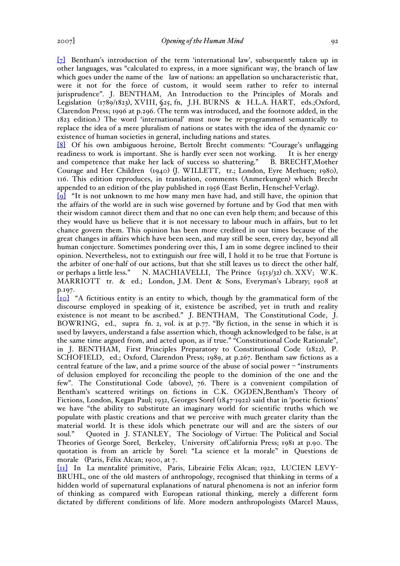[7] Bentham's introduction of the term 'international law', subsequently taken up in other languages, was "calculated to express, in a more significant way, the branch of law which goes under the name of the law of nations: an appellation so uncharacteristic that, were it not for the force of custom, it would seem rather to refer to internal jurisprudence". J. BENTHAM, An Introduction to the Principles of Morals and Legislation (1789/1823), XVIII, §25, fn, J.H. BURNS & H.L.A. HART, eds.;Oxford, Clarendon Press; 1996 at p.296. (The term was introduced, and the footnote added, in the 1823 edition.) The word 'international' must now be re-programmed semantically to replace the idea of a mere pluralism of nations or states with the idea of the dynamic coexistence of human societies in general, including nations and states.

[8] Of his own ambiguous heroine, Bertolt Brecht comments: "Courage's unflagging readiness to work is important. She is hardly ever seen not working. It is her energy and competence that make her lack of success so shattering." B. BRECHT, Mother and competence that make her lack of success so shattering." Courage and Her Children (1940) (J. WILLETT, tr.; London, Eyre Methuen; 1980), 116. This edition reproduces, in translation, comments (Anmerkungen) which Brecht appended to an edition of the play published in 1956 (East Berlin, Henschel-Verlag).

 $\overline{\{9\}}$  "It is not unknown to me how many men have had, and still have, the opinion that the affairs of the world are in such wise governed by fortune and by God that men with their wisdom cannot direct them and that no one can even help them; and because of this they would have us believe that it is not necessary to labour much in affairs, but to let chance govern them. This opinion has been more credited in our times because of the great changes in affairs which have been seen, and may still be seen, every day, beyond all human conjecture. Sometimes pondering over this, I am in some degree inclined to their opinion. Nevertheless, not to extinguish our free will, I hold it to be true that Fortune is the arbiter of one-half of our actions, but that she still leaves us to direct the other half, or perhaps a little less." N. MACHIAVELLI, The Prince (1513/32) ch. XXV; W.K. MARRIOTT tr. & ed.; London, J.M. Dent & Sons, Everyman's Library; 1908 at p.197.

[10] "A fictitious entity is an entity to which, though by the grammatical form of the discourse employed in speaking of it, existence be ascribed, yet in truth and reality existence is not meant to be ascribed." J. BENTHAM, The Constitutional Code, J. BOWRING, ed., supra fn. 2, vol. ix at p.77. "By fiction, in the sense in which it is used by lawyers, understand a false assertion which, though acknowledged to be false, is at the same time argued from, and acted upon, as if true." "Constitutional Code Rationale", in J. BENTHAM, First Principles Preparatory to Constitutional Code (1822), P. SCHOFIELD, ed.; Oxford, Clarendon Press; 1989, at p.267. Bentham saw fictions as a central feature of the law, and a prime source of the abuse of social power – "instruments of delusion employed for reconciling the people to the dominion of the one and the few". The Constitutional Code (above), 76. There is a convenient compilation of Bentham's scattered writings on fictions in C.K. OGDEN,Bentham's Theory of Fictions, London, Kegan Paul; 1932, Georges Sorel (1847-1922) said that in 'poetic fictions' we have "the ability to substitute an imaginary world for scientific truths which we populate with plastic creations and that we perceive with much greater clarity than the material world. It is these idols which penetrate our will and are the sisters of our soul." Quoted in J. STANLEY, The Sociology of Virtue: The Political and Social Theories of George Sorel, Berkeley, University ofCalifornia Press; 1981 at p.90. The quotation is from an article by Sorel: "La science et la morale" in Questions de morale (Paris, Félix Alcan; 1900, at 7.

[11] In La mentalité primitive, Paris, Librairie Félix Alcan; 1922, LUCIEN LEVY-BRUHL, one of the old masters of anthropology, recognised that thinking in terms of a hidden world of supernatural explanations of natural phenomena is not an inferior form of thinking as compared with European rational thinking, merely a different form dictated by different conditions of life. More modern anthropologists (Marcel Mauss,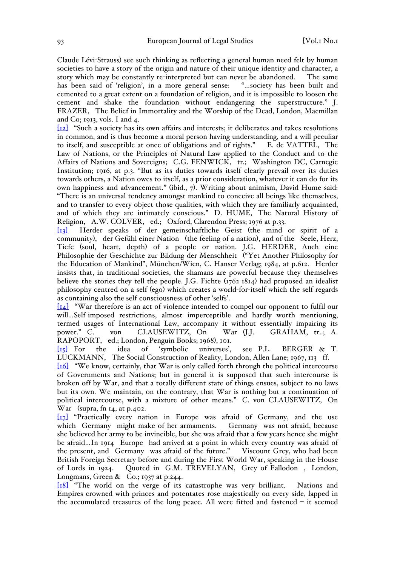Claude Lévi-Strauss) see such thinking as reflecting a general human need felt by human societies to have a story of the origin and nature of their unique identity and character, a story which may be constantly re-interpreted but can never be abandoned. The same has been said of 'religion', in a more general sense: "…society has been built and cemented to a great extent on a foundation of religion, and it is impossible to loosen the cement and shake the foundation without endangering the superstructure." J. FRAZER, The Belief in Immortality and the Worship of the Dead, London, Macmillan and Co; 1913, vols. I and 4.

[12] "Such a society has its own affairs and interests; it deliberates and takes resolutions in common, and is thus become a moral person having understanding, and a will peculiar to itself, and susceptible at once of obligations and of rights." E. de VATTEL, The Law of Nations, or the Principles of Natural Law applied to the Conduct and to the Affairs of Nations and Sovereigns; C.G. FENWICK, tr.; Washington DC, Carnegie Institution; 1916, at p.3. "But as its duties towards itself clearly prevail over its duties towards others, a Nation owes to itself, as a prior consideration, whatever it can do for its own happiness and advancement." (ibid., 7). Writing about animism, David Hume said: "There is an universal tendency amongst mankind to conceive all beings like themselves, and to transfer to every object those qualities, with which they are familiarly acquainted, and of which they are intimately conscious." D. HUME, The Natural History of Religion, A.W. COLVER, ed.; Oxford, Clarendon Press; 1976 at p.33.

[13] Herder speaks of der gemeinschaftliche Geist (the mind or spirit of a community), der Gefühl einer Nation (the feeling of a nation), and of the Seele, Herz, Tiefe (soul, heart, depth) of a people or nation. J.G. HERDER, Auch eine Philosophie der Geschichte zur Bildung der Menschheit ("Yet Another Philosophy for the Education of Mankind", München/Wien, C. Hanser Verlag; 1984, at p.612. Herder insists that, in traditional societies, the shamans are powerful because they themselves believe the stories they tell the people. J.G. Fichte (1762-1814) had proposed an idealist philosophy centred on a self (ego) which creates a world-for-itself which the self regards as containing also the self-consciousness of other 'selfs'.

[14] "War therefore is an act of violence intended to compel our opponent to fulfil our will...Self-imposed restrictions, almost imperceptible and hardly worth mentioning, termed usages of International Law, accompany it without essentially impairing its power." C. von CLAUSEWITZ, On War (J.J. GRAHAM, tr..; A. RAPOPORT, ed.; London, Penguin Books; 1968), 101.

[15] For the idea of 'symbolic universes', see P.L. BERGER & T. LUCKMANN, The Social Construction of Reality, London, Allen Lane; 1967, 113 ff.

[16] "We know, certainly, that War is only called forth through the political intercourse of Governments and Nations; but in general it is supposed that such intercourse is broken off by War, and that a totally different state of things ensues, subject to no laws but its own. We maintain, on the contrary, that War is nothing but a continuation of political intercourse, with a mixture of other means." C. von CLAUSEWITZ, On  $\hat{W}$ ar (supra, fn 14, at p.402.

[17] "Practically every nation in Europe was afraid of Germany, and the use which Germany might make of her armaments. Germany was not afraid, because she believed her army to be invincible, but she was afraid that a few years hence she might be afraid…In 1914 Europe had arrived at a point in which every country was afraid of the present, and Germany was afraid of the future." Viscount Grey, who had been British Foreign Secretary before and during the First World War, speaking in the House of Lords in 1924. Quoted in G.M. TREVELYAN, Grey of Fallodon , London, Longmans, Green  $\&$  Co.; 1937 at p.244.

[18] "The world on the verge of its catastrophe was very brilliant. Nations and Empires crowned with princes and potentates rose majestically on every side, lapped in the accumulated treasures of the long peace. All were fitted and fastened – it seemed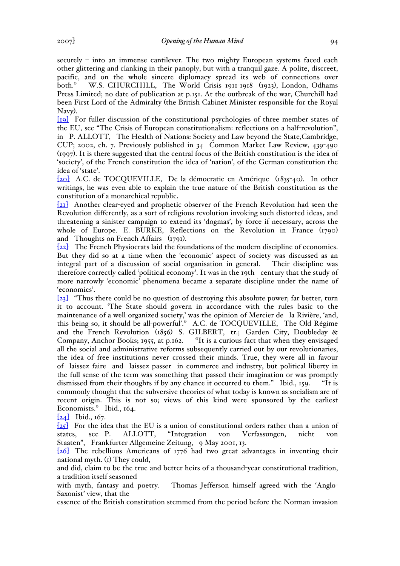securely – into an immense cantilever. The two mighty European systems faced each other glittering and clanking in their panoply, but with a tranquil gaze. A polite, discreet, pacific, and on the whole sincere diplomacy spread its web of connections over both." W.S. CHURCHILL, The World Crisis 1911-1918 (1923), London, Odhams Press Limited; no date of publication at p.151. At the outbreak of the war, Churchill had been First Lord of the Admiralty (the British Cabinet Minister responsible for the Royal Navy).

[19] For fuller discussion of the constitutional psychologies of three member states of the EU, see "The Crisis of European constitutionalism: reflections on a half-revolution", in P. ALLOTT, The Health of Nations: Society and Law beyond the State,Cambridge, CUP; 2002, ch. 7. Previously published in 34 Common Market Law Review, 439-490 (1997). It is there suggested that the central focus of the British constitution is the idea of 'society', of the French constitution the idea of 'nation', of the German constitution the idea of 'state'.

[20] A.C. de TOCQUEVILLE, De la démocratie en Amérique (1835-40). In other writings, he was even able to explain the true nature of the British constitution as the constitution of a monarchical republic.

[21] Another clear-eyed and prophetic observer of the French Revolution had seen the Revolution differently, as a sort of religious revolution invoking such distorted ideas, and threatening a sinister campaign to extend its 'dogmas', by force if necessary, across the whole of Europe. E. BURKE, Reflections on the Revolution in France (1790) and Thoughts on French Affairs (1791).

[22] The French Physiocrats laid the foundations of the modern discipline of economics. But they did so at a time when the 'economic' aspect of society was discussed as an integral part of a discussion of social organisation in general. Their discipline was therefore correctly called 'political economy'. It was in the 19th century that the study of more narrowly 'economic' phenomena became a separate discipline under the name of 'economics'.

[23] "Thus there could be no question of destroying this absolute power; far better, turn it to account. 'The State should govern in accordance with the rules basic to the maintenance of a well-organized society,' was the opinion of Mercier de la Rivière, 'and, this being so, it should be all-powerful'." A.C. de TOCQUEVILLE, The Old Régime and the French Revolution (1856) S. GILBERT, tr.; Garden City, Doubleday & Company, Anchor Books; 1955, at p.162. "It is a curious fact that when they envisaged all the social and administrative reforms subsequently carried out by our revolutionaries, the idea of free institutions never crossed their minds. True, they were all in favour of laissez faire and laissez passer in commerce and industry, but political liberty in the full sense of the term was something that passed their imagination or was promptly dismissed from their thoughts if by any chance it occurred to them." Ibid., 159. "It is commonly thought that the subversive theories of what today is known as socialism are of recent origin. This is not so; views of this kind were sponsored by the earliest Economists." Ibid., 164.

 $[24]$  Ibid., 167.

 $[25]$  For the idea that the EU is a union of constitutional orders rather than a union of states, see P. ALLOTT, "Integration von Verfassungen, nicht von Staaten", Frankfurter Allgemeine Zeitung, 9 May 2001, 13.

[26] The rebellious Americans of 1776 had two great advantages in inventing their national myth. (1) They could,

and did, claim to be the true and better heirs of a thousand-year constitutional tradition, a tradition itself seasoned

with myth, fantasy and poetry. Thomas Jefferson himself agreed with the 'Anglo-Saxonist' view, that the

essence of the British constitution stemmed from the period before the Norman invasion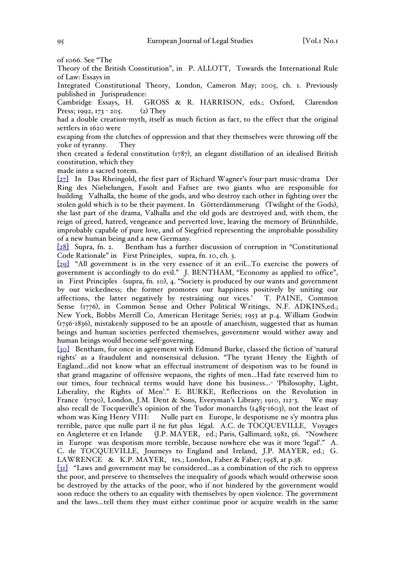Theory of the British Constitution", in P. ALLOTT, Towards the International Rule of Law: Essays in

Integrated Constitutional Theory, London, Cameron May; 2005, ch. 1. Previously published in Jurisprudence:<br>Cambridge Essays, H.

GROSS & R. HARRISON, eds.; Oxford, Clarendon Press; 1992, 173 - 205. (2) They

had a double creation-myth, itself as much fiction as fact, to the effect that the original settlers in 1620 were

escaping from the clutches of oppression and that they themselves were throwing off the yoke of tyranny. They

then created a federal constitution (1787), an elegant distillation of an idealised British constitution, which they

made into a sacred totem.

[27] In Das Rheingold, the first part of Richard Wagner's four-part music-drama Der Ring des Niebelungen, Fasolt and Fafner are two giants who are responsible for building Valhalla, the home of the gods, and who destroy each other in fighting over the stolen gold which is to be their payment. In Götterdämmerung (Twilight of the Gods), the last part of the drama, Valhalla and the old gods are destroyed and, with them, the reign of greed, hatred, vengeance and perverted love, leaving the memory of Brünnhilde, improbably capable of pure love, and of Siegfried representing the improbable possibility of a new human being and a new Germany.

[28] Supra, fn. 2. Bentham has a further discussion of corruption in "Constitutional Code Rationale" in First Principles, supra, fn. 10, ch. 3.

[29] "All government is in the very essence of it an evil…To exercise the powers of government is accordingly to do evil." J. BENTHAM, "Economy as applied to office", in First Principles (supra, fn. 10), 4. "Society is produced by our wants and government by our wickedness; the former promotes our happiness positively by uniting our affections, the latter negatively by restraining our vices.' T. PAINE, Common  $a$ ffections, the latter negatively by restraining our vices.<sup>'</sup> Sense (1776), in Common Sense and Other Political Writings, N.F. ADKINS,ed.; New York, Bobbs Merrill Co, American Heritage Series; 1953 at p.4. William Godwin (1756-1836), mistakenly supposed to be an apostle of anarchism, suggested that as human beings and human societies perfected themselves, government would wither away and human beings would become self-governing.

[30] Bentham, for once in agreement with Edmund Burke, classed the fiction of 'natural rights' as a fraudulent and nonsensical delusion. "The tyrant Henry the Eighth of England…did not know what an effectual instrument of despotism was to be found in that grand magazine of offensive wepaons, the rights of men…Had fate reserved him to our times, four technical terms would have done his business…- 'Philosophy, Light, Liberality, the Rights of Men'." E. BURKE, Reflections on the Revolution in France (1790), London, J.M. Dent & Sons, Everyman's Library; 1910, 112-3. We may also recall de Tocqueville's opinion of the Tudor monarchs  $(1485-1603)$ , not the least of whom was King Henry VIII: Nulle part en Europe, le despotisme ne s'y montra plus terrible, parce que nulle part il ne fut plus légal. A.C. de TOCQUEVILLE, Voyages en Angleterre et en Irlande (J.P. MAYER, ed.; Paris, Gallimard; 1982, 56. "Nowhere in Europe was despotism more terrible, because nowhere else was it more 'legal'." A. C. de TOCQUEVILLE, Journeys to England and Ireland, J.P. MAYER, ed.; G. LAWRENCE & K.P. MAYER, trs.; London, Faber & Faber; 1958, at p.38.

[31] "Laws and government may be considered…as a combination of the rich to oppress the poor, and preserve to themselves the inequality of goods which would otherwise soon be destroyed by the attacks of the poor, who if not hindered by the government would soon reduce the others to an equality with themselves by open violence. The government and the laws…tell them they must either continue poor or acquire wealth in the same

of 1066. See "The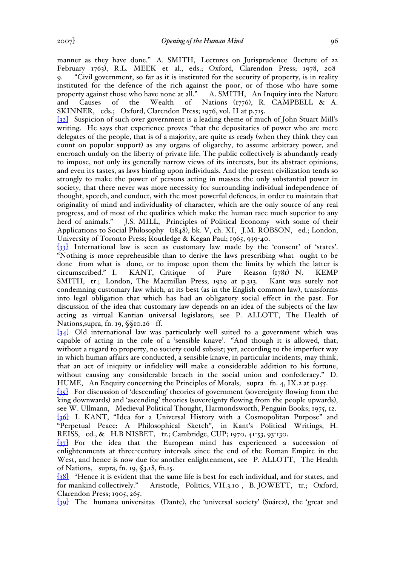manner as they have done." A. SMITH, Lectures on Jurisprudence (lecture of 22 February 1763), R.L. MEEK et al., eds.; Oxford, Clarendon Press; 1978, 208- 9. "Civil government, so far as it is instituted for the security of property, is in reality instituted for the defence of the rich against the poor, or of those who have some property against those who have none at all." A. SMITH, An Inquiry into the Nature property against those who have none at all." and Causes of the Wealth of Nations (1776), R. CAMPBELL & A. SKINNER, eds.; Oxford, Clarendon Press; 1976, vol. II at p.715.

[32] Suspicion of such over-government is a leading theme of much of John Stuart Mill's writing. He says that experience proves "that the depositaries of power who are mere delegates of the people, that is of a majority, are quite as ready (when they think they can count on popular support) as any organs of oligarchy, to assume arbitrary power, and encroach unduly on the liberty of private life. The public collectively is abundantly ready to impose, not only its generally narrow views of its interests, but its abstract opinions, and even its tastes, as laws binding upon individuals. And the present civilization tends so strongly to make the power of persons acting in masses the only substantial power in society, that there never was more necessity for surrounding individual independence of thought, speech, and conduct, with the most powerful defences, in order to maintain that originality of mind and individuality of character, which are the only source of any real progress, and of most of the qualities which make the human race much superior to any herd of animals." J.S. MILL, Principles of Political Economy with some of their Applications to Social Philosophy (1848), bk. V, ch. XI, J.M. ROBSON, ed.; London, University of Toronto Press; Routledge & Kegan Paul; 1965, 939-40.

[33] International law is seen as customary law made by the 'consent' of 'states'. "Nothing is more reprehensible than to derive the laws prescribing what ought to be done from what is done, or to impose upon them the limits by which the latter is circumscribed." I. KANT, Critique of Pure Reason (1781) N. KEMP SMITH, tr.; London, The Macmillan Press; 1929 at p.313. Kant was surely not condemning customary law which, at its best (as in the English common law), transforms into legal obligation that which has had an obligatory social effect in the past. For discussion of the idea that customary law depends on an idea of the subjects of the law acting as virtual Kantian universal legislators, see P. ALLOTT, The Health of Nations,supra, fn. 19, §§10.26 ff.

[34] Old international law was particularly well suited to a government which was capable of acting in the role of a 'sensible knave'. "And though it is allowed, that, without a regard to property, no society could subsist; yet, according to the imperfect way in which human affairs are conducted, a sensible knave, in particular incidents, may think, that an act of iniquity or infidelity will make a considerable addition to his fortune, without causing any considerable breach in the social union and confederacy." D. HUME, An Enquiry concerning the Principles of Morals, supra fn. 4, IX.2 at p.155.

[35] For discussion of 'descending' theories of government (sovereignty flowing from the king downwards) and 'ascending' theories (sovereignty flowing from the people upwards), see W. Ullmann, Medieval Political Thought, Harmondsworth, Penguin Books; 1975, 12. [36] I. KANT, "Idea for a Universal History with a Cosmopolitan Purpose" and "Perpetual Peace: A Philosophical Sketch", in Kant's Political Writings, H. REISS, ed., & H.B NISBET, tr.; Cambridge, CUP; 1970, 41-53, 93-130.

[37] For the idea that the European mind has experienced a succession of enlightenments at three-century intervals since the end of the Roman Empire in the West, and hence is now due for another enlightenment, see P. ALLOTT, The Health of Nations, supra, fn. 19, §3.18, fn.15.

[38] "Hence it is evident that the same life is best for each individual, and for states, and for mankind collectively." Aristotle, Politics, VII.3.10 , B. JOWETT, tr.; Oxford, Clarendon Press; 1905, 265.

[39] The humana universitas (Dante), the 'universal society' (Suárez), the 'great and